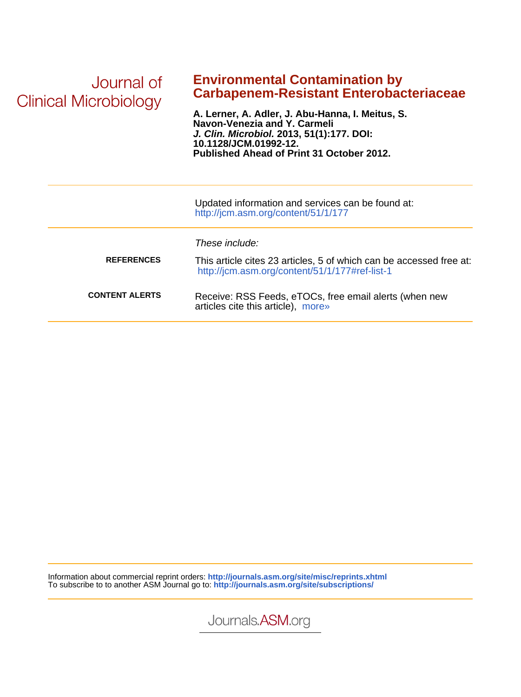# Journal of **Clinical Microbiology**

### **Carbapenem-Resistant Enterobacteriaceae Environmental Contamination by**

**Published Ahead of Print 31 October 2012. 10.1128/JCM.01992-12. J. Clin. Microbiol. 2013, 51(1):177. DOI: Navon-Venezia and Y. Carmeli A. Lerner, A. Adler, J. Abu-Hanna, I. Meitus, S.**

|                       | Updated information and services can be found at:<br>http://jcm.asm.org/content/51/1/177                              |
|-----------------------|-----------------------------------------------------------------------------------------------------------------------|
|                       | These include:                                                                                                        |
| <b>REFERENCES</b>     | This article cites 23 articles, 5 of which can be accessed free at:<br>http://jcm.asm.org/content/51/1/177#ref-list-1 |
| <b>CONTENT ALERTS</b> | Receive: RSS Feeds, eTOCs, free email alerts (when new<br>articles cite this article), more»                          |

Information about commercial reprint orders: **http://journals.asm.org/site/misc/reprints.xhtml** To subscribe to to another ASM Journal go to: **http://journals.asm.org/site/subscriptions/**

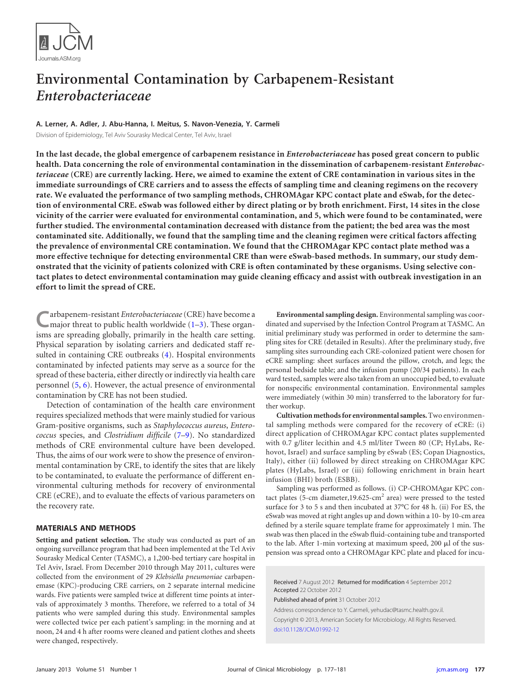

## **Environmental Contamination by Carbapenem-Resistant** *Enterobacteriaceae*

#### **A. Lerner, A. Adler, J. Abu-Hanna, I. Meitus, S. Navon-Venezia, Y. Carmeli**

Division of Epidemiology, Tel Aviv Sourasky Medical Center, Tel Aviv, Israel

**In the last decade, the global emergence of carbapenem resistance in** *Enterobacteriaceae* **has posed great concern to public health. Data concerning the role of environmental contamination in the dissemination of carbapenem-resistant** *Enterobacteriaceae* **(CRE) are currently lacking. Here, we aimed to examine the extent of CRE contamination in various sites in the immediate surroundings of CRE carriers and to assess the effects of sampling time and cleaning regimens on the recovery rate. We evaluated the performance of two sampling methods, CHROMAgar KPC contact plate and eSwab, for the detection of environmental CRE. eSwab was followed either by direct plating or by broth enrichment. First, 14 sites in the close vicinity of the carrier were evaluated for environmental contamination, and 5, which were found to be contaminated, were further studied. The environmental contamination decreased with distance from the patient; the bed area was the most contaminated site. Additionally, we found that the sampling time and the cleaning regimen were critical factors affecting the prevalence of environmental CRE contamination. We found that the CHROMAgar KPC contact plate method was a more effective technique for detecting environmental CRE than were eSwab-based methods. In summary, our study demonstrated that the vicinity of patients colonized with CRE is often contaminated by these organisms. Using selective contact plates to detect environmental contamination may guide cleaning efficacy and assist with outbreak investigation in an effort to limit the spread of CRE.**

**C**arbapenem-resistant *Enterobacteriaceae*(CRE) have become a major threat to public health worldwide  $(1-3)$  $(1-3)$ . These organisms are spreading globally, primarily in the health care setting. Physical separation by isolating carriers and dedicated staff resulted in containing CRE outbreaks [\(4\)](#page-5-0). Hospital environments contaminated by infected patients may serve as a source for the spread of these bacteria, either directly or indirectly via health care personnel [\(5,](#page-5-1) [6\)](#page-5-2). However, the actual presence of environmental contamination by CRE has not been studied.

Detection of contamination of the health care environment requires specialized methods that were mainly studied for various Gram-positive organisms, such as *Staphylococcus aureus*, *Enterococcus* species, and *Clostridium difficile* [\(7](#page-5-3)[–9\)](#page-5-4). No standardized methods of CRE environmental culture have been developed. Thus, the aims of our work were to show the presence of environmental contamination by CRE, to identify the sites that are likely to be contaminated, to evaluate the performance of different environmental culturing methods for recovery of environmental CRE (eCRE), and to evaluate the effects of various parameters on the recovery rate.

#### **MATERIALS AND METHODS**

**Setting and patient selection.** The study was conducted as part of an ongoing surveillance program that had been implemented at the Tel Aviv Sourasky Medical Center (TASMC), a 1,200-bed tertiary care hospital in Tel Aviv, Israel. From December 2010 through May 2011, cultures were collected from the environment of 29 *Klebsiella pneumoniae* carbapenemase (KPC)-producing CRE carriers, on 2 separate internal medicine wards. Five patients were sampled twice at different time points at intervals of approximately 3 months. Therefore, we referred to a total of 34 patients who were sampled during this study. Environmental samples were collected twice per each patient's sampling: in the morning and at noon, 24 and 4 h after rooms were cleaned and patient clothes and sheets were changed, respectively.

**Environmental sampling design.** Environmental sampling was coordinated and supervised by the Infection Control Program at TASMC. An initial preliminary study was performed in order to determine the sampling sites for CRE (detailed in Results). After the preliminary study, five sampling sites surrounding each CRE-colonized patient were chosen for eCRE sampling: sheet surfaces around the pillow, crotch, and legs; the personal bedside table; and the infusion pump (20/34 patients). In each ward tested, samples were also taken from an unoccupied bed, to evaluate for nonspecific environmental contamination. Environmental samples were immediately (within 30 min) transferred to the laboratory for further workup.

**Cultivation methods for environmental samples.**Two environmental sampling methods were compared for the recovery of eCRE: (i) direct application of CHROMAgar KPC contact plates supplemented with 0.7 g/liter lecithin and 4.5 ml/liter Tween 80 (CP; HyLabs, Rehovot, Israel) and surface sampling by eSwab (ES; Copan Diagnostics, Italy), either (ii) followed by direct streaking on CHROMAgar KPC plates (HyLabs, Israel) or (iii) following enrichment in brain heart infusion (BHI) broth (ESBB).

Sampling was performed as follows. (i) CP-CHROMAgar KPC contact plates (5-cm diameter, 19.625-cm<sup>2</sup> area) were pressed to the tested surface for 3 to 5 s and then incubated at 37°C for 48 h. (ii) For ES, the eSwab was moved at right angles up and down within a 10- by 10-cm area defined by a sterile square template frame for approximately 1 min. The swab was then placed in the eSwab fluid-containing tube and transported to the lab. After 1-min vortexing at maximum speed, 200  $\mu$ l of the suspension was spread onto a CHROMAgar KPC plate and placed for incu-

Received 7 August 2012 Returned for modification 4 September 2012 Accepted 22 October 2012

Published ahead of print 31 October 2012

Address correspondence to Y. Carmeli, yehudac@tasmc.health.gov.il. Copyright © 2013, American Society for Microbiology. All Rights Reserved. [doi:10.1128/JCM.01992-12](http://dx.doi.org/10.1128/JCM.01992-12)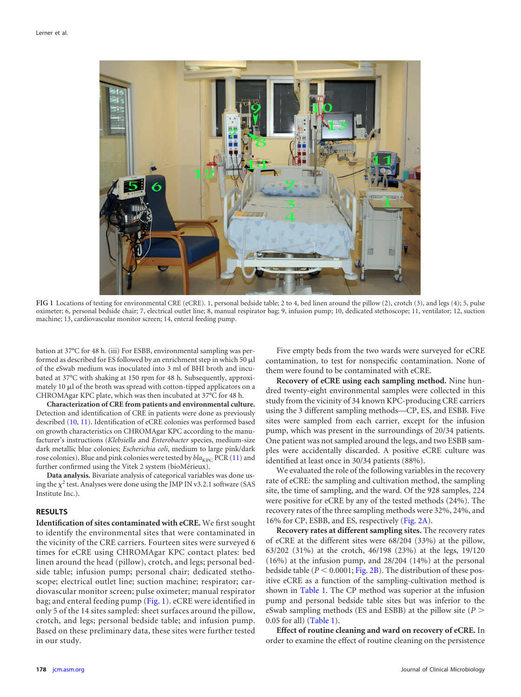

**FIG 1** Locations of testing for environmental CRE (eCRE). 1, personal bedside table; 2 to 4, bed linen around the pillow (2), crotch (3), and legs (4); 5, pulse oximeter; 6, personal bedside chair; 7, electrical outlet line; 8, manual respirator bag; 9, infusion pump; 10, dedicated stethoscope; 11, ventilator; 12, suction machine; 13, cardiovascular monitor screen; 14, enteral feeding pump.

<span id="page-2-0"></span>bation at 37°C for 48 h. (iii) For ESBB, environmental sampling was performed as described for ES followed by an enrichment step in which 50  $\mu$ l of the eSwab medium was inoculated into 3 ml of BHI broth and incubated at 37°C with shaking at 150 rpm for 48 h. Subsequently, approximately 10  $\mu$ l of the broth was spread with cotton-tipped applicators on a CHROMAgar KPC plate, which was then incubated at 37°C for 48 h.

**Characterization of CRE from patients and environmental culture.** Detection and identification of CRE in patients were done as previously described [\(10,](#page-5-5) [11\)](#page-5-6). Identification of eCRE colonies was performed based on growth characteristics on CHROMAgar KPC according to the manufacturer's instructions (*Klebsiella* and *Enterobacter* species, medium-size dark metallic blue colonies; *Escherichia coli*, medium to large pink/dark rose colonies). Blue and pink colonies were tested by  $bla_{KPC}$  PCR [\(11\)](#page-5-6) and further confirmed using the Vitek 2 system (bioMérieux).

**Data analysis.** Bivariate analysis of categorical variables was done using the  $\chi^2$  test. Analyses were done using the JMP IN v3.2.1 software (SAS Institute Inc.).

#### **RESULTS**

**Identification of sites contaminated with eCRE.** We first sought to identify the environmental sites that were contaminated in the vicinity of the CRE carriers. Fourteen sites were surveyed 6 times for eCRE using CHROMAgar KPC contact plates: bed linen around the head (pillow), crotch, and legs; personal bedside table; infusion pump; personal chair; dedicated stethoscope; electrical outlet line; suction machine; respirator; cardiovascular monitor screen; pulse oximeter; manual respirator bag; and enteral feeding pump [\(Fig. 1\)](#page-2-0). eCRE were identified in only 5 of the 14 sites sampled: sheet surfaces around the pillow, crotch, and legs; personal bedside table; and infusion pump. Based on these preliminary data, these sites were further tested in our study.

Five empty beds from the two wards were surveyed for eCRE contamination, to test for nonspecific contamination. None of them were found to be contaminated with eCRE.

**Recovery of eCRE using each sampling method.** Nine hundred twenty-eight environmental samples were collected in this study from the vicinity of 34 known KPC-producing CRE carriers using the 3 different sampling methods—CP, ES, and ESBB. Five sites were sampled from each carrier, except for the infusion pump, which was present in the surroundings of 20/34 patients. One patient was not sampled around the legs, and two ESBB samples were accidentally discarded. A positive eCRE culture was identified at least once in 30/34 patients (88%).

We evaluated the role of the following variables in the recovery rate of eCRE: the sampling and cultivation method, the sampling site, the time of sampling, and the ward. Of the 928 samples, 224 were positive for eCRE by any of the tested methods (24%). The recovery rates of the three sampling methods were 32%, 24%, and 16% for CP, ESBB, and ES, respectively [\(Fig. 2A\)](#page-3-0).

**Recovery rates at different sampling sites.** The recovery rates of eCRE at the different sites were 68/204 (33%) at the pillow, 63/202 (31%) at the crotch, 46/198 (23%) at the legs, 19/120 (16%) at the infusion pump, and 28/204 (14%) at the personal bedside table  $(P < 0.0001; Fig. 2B)$  $(P < 0.0001; Fig. 2B)$ . The distribution of these positive eCRE as a function of the sampling-cultivation method is shown in [Table 1.](#page-3-1) The CP method was superior at the infusion pump and personal bedside table sites but was inferior to the eSwab sampling methods (ES and ESBB) at the pillow site (*P* 0.05 for all) [\(Table 1\)](#page-3-1).

**Effect of routine cleaning and ward on recovery of eCRE.** In order to examine the effect of routine cleaning on the persistence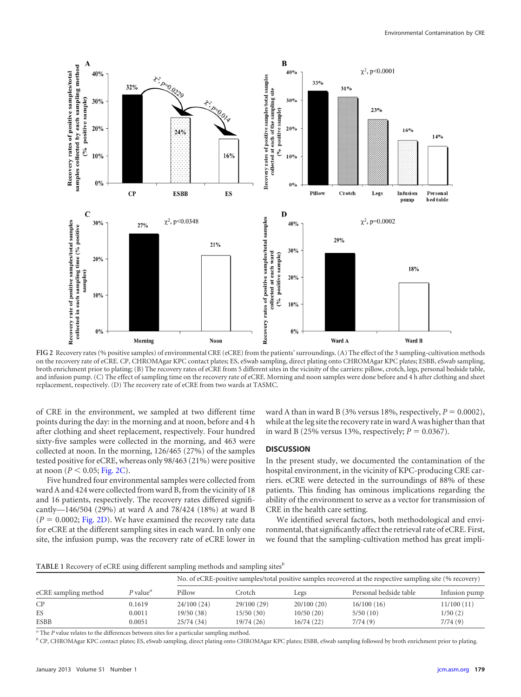

<span id="page-3-0"></span>**FIG 2** Recovery rates (% positive samples) of environmental CRE (eCRE) from the patients' surroundings. (A) The effect of the 3 sampling-cultivation methods on the recovery rate of eCRE. CP, CHROMAgar KPC contact plates; ES, eSwab sampling, direct plating onto CHROMAgar KPC plates; ESBB, eSwab sampling, broth enrichment prior to plating; (B) The recovery rates of eCRE from 5 different sites in the vicinity of the carriers: pillow, crotch, legs, personal bedside table, and infusion pump. (C) The effect of sampling time on the recovery rate of eCRE. Morning and noon samples were done before and 4 h after clothing and sheet replacement, respectively. (D) The recovery rate of eCRE from two wards at TASMC.

of CRE in the environment, we sampled at two different time points during the day: in the morning and at noon, before and 4 h after clothing and sheet replacement, respectively. Four hundred sixty-five samples were collected in the morning, and 463 were collected at noon. In the morning, 126/465 (27%) of the samples tested positive for eCRE, whereas only 98/463 (21%) were positive at noon ( $P < 0.05$ ; [Fig. 2C\)](#page-3-0).

Five hundred four environmental samples were collected from ward A and 424 were collected from ward B, from the vicinity of 18 and 16 patients, respectively. The recovery rates differed significantly—146/504 (29%) at ward A and 78/424 (18%) at ward B  $(P = 0.0002; Fig. 2D)$  $(P = 0.0002; Fig. 2D)$ . We have examined the recovery rate data for eCRE at the different sampling sites in each ward. In only one site, the infusion pump, was the recovery rate of eCRE lower in

ward A than in ward B (3% versus 18%, respectively,  $P = 0.0002$ ), while at the leg site the recovery rate in ward A was higher than that in ward B (25% versus 13%, respectively;  $P = 0.0367$ ).

#### **DISCUSSION**

In the present study, we documented the contamination of the hospital environment, in the vicinity of KPC-producing CRE carriers. eCRE were detected in the surroundings of 88% of these patients. This finding has ominous implications regarding the ability of the environment to serve as a vector for transmission of CRE in the health care setting.

We identified several factors, both methodological and environmental, that significantly affect the retrieval rate of eCRE. First, we found that the sampling-cultivation method has great impli-

<span id="page-3-1"></span>**TABLE 1** Recovery of eCRE using different sampling methods and sampling sites*<sup>b</sup>*

| eCRE sampling method | $P$ value <sup><math>a</math></sup> | No. of eCRE-positive samples/total positive samples recovered at the respective sampling site (% recovery) |            |            |                        |               |
|----------------------|-------------------------------------|------------------------------------------------------------------------------------------------------------|------------|------------|------------------------|---------------|
|                      |                                     | Pillow                                                                                                     | Crotch     | Legs       | Personal bedside table | Infusion pump |
| CP                   | 0.1619                              | 24/100(24)                                                                                                 | 29/100(29) | 20/100(20) | 16/100(16)             | 11/100(11)    |
| ES                   | 0.0011                              | 19/50(38)                                                                                                  | 15/50(30)  | 10/50(20)  | 5/50(10)               | 1/50(2)       |
| <b>ESBB</b>          | 0.0051                              | 25/74(34)                                                                                                  | 19/74(26)  | 16/74(22)  | 7/74(9)                | 7/74(9)       |

*<sup>a</sup>* The *P* value relates to the differences between sites for a particular sampling method.

*<sup>b</sup>* CP, CHROMAgar KPC contact plates; ES, eSwab sampling, direct plating onto CHROMAgar KPC plates; ESBB, eSwab sampling followed by broth enrichment prior to plating.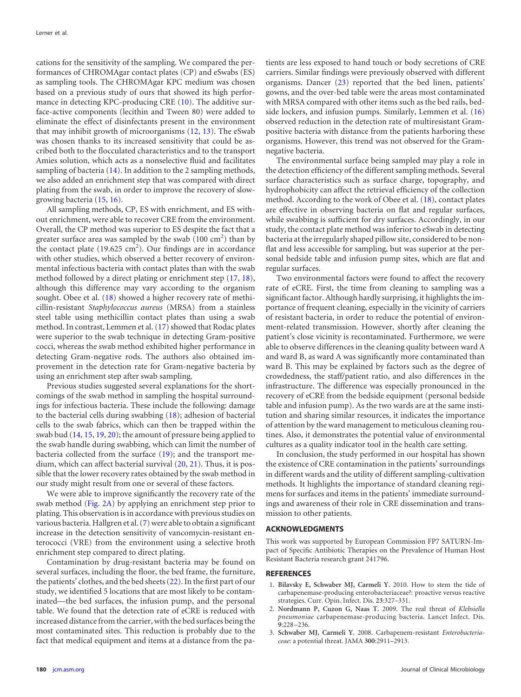cations for the sensitivity of the sampling. We compared the performances of CHROMAgar contact plates (CP) and eSwabs (ES) as sampling tools. The CHROMAgar KPC medium was chosen based on a previous study of ours that showed its high performance in detecting KPC-producing CRE [\(10\)](#page-5-5). The additive surface-active components (lecithin and Tween 80) were added to eliminate the effect of disinfectants present in the environment that may inhibit growth of microorganisms [\(12,](#page-5-7) [13\)](#page-5-8). The eSwab was chosen thanks to its increased sensitivity that could be ascribed both to the flocculated characteristics and to the transport Amies solution, which acts as a nonselective fluid and facilitates sampling of bacteria [\(14\)](#page-5-9). In addition to the 2 sampling methods, we also added an enrichment step that was compared with direct plating from the swab, in order to improve the recovery of slowgrowing bacteria [\(15,](#page-5-10) [16\)](#page-5-11).

All sampling methods, CP, ES with enrichment, and ES without enrichment, were able to recover CRE from the environment. Overall, the CP method was superior to ES despite the fact that a greater surface area was sampled by the swab  $(100 \text{ cm}^2)$  than by the contact plate (19.625  $cm<sup>2</sup>$ ). Our findings are in accordance with other studies, which observed a better recovery of environmental infectious bacteria with contact plates than with the swab method followed by a direct plating or enrichment step [\(17,](#page-5-12) [18\)](#page-5-13), although this difference may vary according to the organism sought. Obee et al. [\(18\)](#page-5-13) showed a higher recovery rate of methicillin-resistant *Staphylococcus aureus* (MRSA) from a stainless steel table using methicillin contact plates than using a swab method. In contrast, Lemmen et al. [\(17\)](#page-5-12) showed that Rodac plates were superior to the swab technique in detecting Gram-positive cocci, whereas the swab method exhibited higher performance in detecting Gram-negative rods. The authors also obtained improvement in the detection rate for Gram-negative bacteria by using an enrichment step after swab sampling.

Previous studies suggested several explanations for the shortcomings of the swab method in sampling the hospital surroundings for infectious bacteria. These include the following: damage to the bacterial cells during swabbing [\(18\)](#page-5-13); adhesion of bacterial cells to the swab fabrics, which can then be trapped within the swab bud [\(14,](#page-5-9) [15,](#page-5-10) [19,](#page-5-14) [20\)](#page-5-15); the amount of pressure being applied to the swab handle during swabbing, which can limit the number of bacteria collected from the surface [\(19\)](#page-5-14); and the transport medium, which can affect bacterial survival [\(20,](#page-5-15) [21\)](#page-5-16). Thus, it is possible that the lower recovery rates obtained by the swab method in our study might result from one or several of these factors.

We were able to improve significantly the recovery rate of the swab method [\(Fig. 2A\)](#page-3-0) by applying an enrichment step prior to plating. This observation is in accordance with previous studies on various bacteria. Hallgren et al. [\(7\)](#page-5-3) were able to obtain a significant increase in the detection sensitivity of vancomycin-resistant enterococci (VRE) from the environment using a selective broth enrichment step compared to direct plating.

Contamination by drug-resistant bacteria may be found on several surfaces, including the floor, the bed frame, the furniture, the patients' clothes, and the bed sheets [\(22\)](#page-5-17). In the first part of our study, we identified 5 locations that are most likely to be contaminated—the bed surfaces, the infusion pump, and the personal table. We found that the detection rate of eCRE is reduced with increased distance from the carrier, with the bed surfaces being the most contaminated sites. This reduction is probably due to the fact that medical equipment and items at a distance from the patients are less exposed to hand touch or body secretions of CRE carriers. Similar findings were previously observed with different organisms. Dancer [\(23\)](#page-5-18) reported that the bed linen, patients' gowns, and the over-bed table were the areas most contaminated with MRSA compared with other items such as the bed rails, bedside lockers, and infusion pumps. Similarly, Lemmen et al. [\(16\)](#page-5-11) observed reduction in the detection rate of multiresistant Grampositive bacteria with distance from the patients harboring these organisms. However, this trend was not observed for the Gramnegative bacteria.

The environmental surface being sampled may play a role in the detection efficiency of the different sampling methods. Several surface characteristics such as surface charge, topography, and hydrophobicity can affect the retrieval efficiency of the collection method. According to the work of Obee et al. [\(18\)](#page-5-13), contact plates are effective in observing bacteria on flat and regular surfaces, while swabbing is sufficient for dry surfaces. Accordingly, in our study, the contact plate method was inferior to eSwab in detecting bacteria at the irregularly shaped pillow site, considered to be nonflat and less accessible for sampling, but was superior at the personal bedside table and infusion pump sites, which are flat and regular surfaces.

Two environmental factors were found to affect the recovery rate of eCRE. First, the time from cleaning to sampling was a significant factor. Although hardly surprising, it highlights the importance of frequent cleaning, especially in the vicinity of carriers of resistant bacteria, in order to reduce the potential of environment-related transmission. However, shortly after cleaning the patient's close vicinity is recontaminated. Furthermore, we were able to observe differences in the cleaning quality between ward A and ward B, as ward A was significantly more contaminated than ward B. This may be explained by factors such as the degree of crowdedness, the staff/patient ratio, and also differences in the infrastructure. The difference was especially pronounced in the recovery of eCRE from the bedside equipment (personal bedside table and infusion pump). As the two wards are at the same institution and sharing similar resources, it indicates the importance of attention by the ward management to meticulous cleaning routines. Also, it demonstrates the potential value of environmental cultures as a quality indicator tool in the health care setting.

In conclusion, the study performed in our hospital has shown the existence of CRE contamination in the patients' surroundings in different wards and the utility of different sampling-cultivation methods. It highlights the importance of standard cleaning regimens for surfaces and items in the patients' immediate surroundings and awareness of their role in CRE dissemination and transmission to other patients.

#### **ACKNOWLEDGMENTS**

This work was supported by European Commission FP7 SATURN-Impact of Specific Antibiotic Therapies on the Prevalence of Human Host Resistant Bacteria research grant 241796.

#### <span id="page-4-0"></span>**REFERENCES**

- 1. **Bilavsky E, Schwaber MJ, Carmeli Y.** 2010. How to stem the tide of carbapenemase-producing enterobacteriaceae?: proactive versus reactive strategies. Curr. Opin. Infect. Dis. **23**:327–331.
- <span id="page-4-1"></span>2. **Nordmann P, Cuzon G, Naas T.** 2009. The real threat of *Klebsiella pneumoniae* carbapenemase-producing bacteria. Lancet Infect. Dis. **9**:228 –236.
- 3. **Schwaber MJ, Carmeli Y.** 2008. Carbapenem-resistant *Enterobacteriaceae*: a potential threat. JAMA **300**:2911–2913.